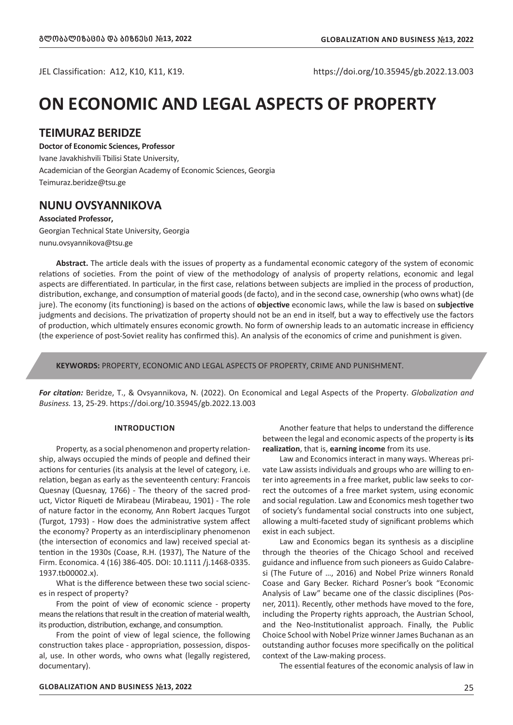JEL Classification: A12, K10, K11, K19. https://doi.org/10.35945/gb.2022.13.003

# **ON ECONOMIC AND LEGAL ASPECTS OF PROPERTY**

## **TEIMURAZ BERIDZE**

**Doctor of Economic Sciences, Professor** Ivane Javakhishvili Tbilisi State University, Academician of the Georgian Academy of Economic Sciences, Georgia Teimuraz.beridze@tsu.ge

## **NUNU OVSYANNIKOVA**

**Associated Professor,** Georgian Technical State University, Georgia nunu.ovsyannikova@tsu.ge

**Abstract.** The article deals with the issues of property as a fundamental economic category of the system of economic relations of societies. From the point of view of the methodology of analysis of property relations, economic and legal aspects are differentiated. In particular, in the first case, relations between subjects are implied in the process of production, distribution, exchange, and consumption of material goods (de facto), and in the second case, ownership (who owns what) (de jure). The economy (its functioning) is based on the actions of **objective** economic laws, while the law is based on **subjective**  judgments and decisions. The privatization of property should not be an end in itself, but a way to effectively use the factors of production, which ultimately ensures economic growth. No form of ownership leads to an automatic increase in efficiency (the experience of post-Soviet reality has confirmed this). An analysis of the economics of crime and punishment is given.

**KEYWORDS:** PROPERTY, ECONOMIC AND LEGAL ASPECTS OF PROPERTY, CRIME AND PUNISHMENT.

*For citation:* Beridze, T., & Ovsyannikova, N. (2022). On Economical and Legal Aspects of the Property. *Globalization and Business.* 13, 25-29. https://doi.org/10.35945/gb.2022.13.003

#### **INTRODUCTION**

Property, as a social phenomenon and property relationship, always occupied the minds of people and defined their actions for centuries (its analysis at the level of category, i.e. relation, began as early as the seventeenth century: Francois Quesnay (Quesnay, 1766) - The theory of the sacred product, Victor Riqueti de Mirabeau (Mirabeau, 1901) - The role of nature factor in the economy, Ann Robert Jacques Turgot (Turgot, 1793) - How does the administrative system affect the economy? Property as an interdisciplinary phenomenon (the intersection of economics and law) received special attention in the 1930s (Coase, R.H. (1937), The Nature of the Firm. Economica. 4 (16) 386-405. DOI: 10.1111 /j.1468-0335. 1937.tb00002.x).

What is the difference between these two social sciences in respect of property?

From the point of view of economic science - property means the relations that result in the creation of material wealth, its production, distribution, exchange, and consumption.

From the point of view of legal science, the following construction takes place - appropriation, possession, disposal, use. In other words, who owns what (legally registered, documentary).

Another feature that helps to understand the difference between the legal and economic aspects of the property is **its realization**, that is, **earning income** from its use.

Law and Economics interact in many ways. Whereas private Law assists individuals and groups who are willing to enter into agreements in a free market, public law seeks to correct the outcomes of a free market system, using economic and social regulation. Law and Economics mesh together two of society's fundamental social constructs into one subject, allowing a multi-faceted study of significant problems which exist in each subject.

Law and Economics began its synthesis as a discipline through the theories of the Chicago School and received guidance and influence from such pioneers as Guido Calabresi (The Future of …, 2016) and Nobel Prize winners Ronald Coase and Gary Becker. Richard Posner's book "Economic Analysis of Law" became one of the classic disciplines (Posner, 2011). Recently, other methods have moved to the fore, including the Property rights approach, the Austrian School, and the Neo-Institutionalist approach. Finally, the Public Choice School with Nobel Prize winner James Buchanan as an outstanding author focuses more specifically on the political context of the Law-making process.

The essential features of the economic analysis of law in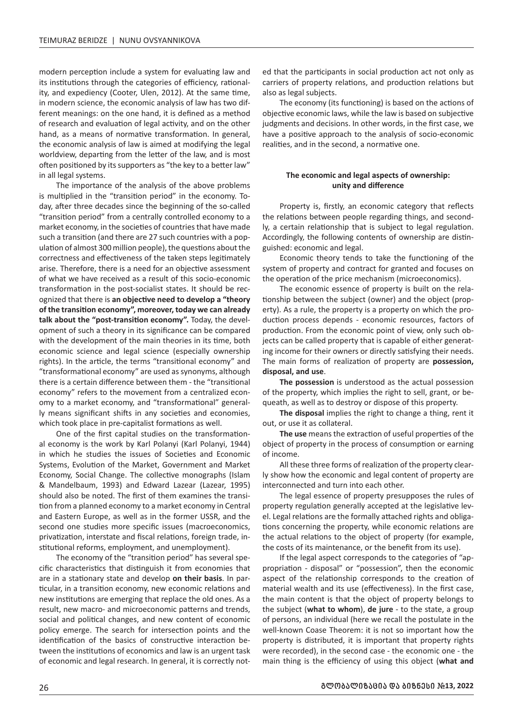modern perception include a system for evaluating law and its institutions through the categories of efficiency, rationality, and expediency (Cooter, Ulen, 2012). At the same time, in modern science, the economic analysis of law has two different meanings: on the one hand, it is defined as a method of research and evaluation of legal activity, and on the other hand, as a means of normative transformation. In general, the economic analysis of law is aimed at modifying the legal worldview, departing from the letter of the law, and is most often positioned by its supporters as "the key to a better law" in all legal systems.

The importance of the analysis of the above problems is multiplied in the "transition period" in the economy. Today, after three decades since the beginning of the so-called "transition period" from a centrally controlled economy to a market economy, in the societies of countries that have made such a transition (and there are 27 such countries with a population of almost 300 million people), the questions about the correctness and effectiveness of the taken steps legitimately arise. Therefore, there is a need for an objective assessment of what we have received as a result of this socio-economic transformation in the post-socialist states. It should be recognized that there is **an objective need to develop a "theory of the transition economy", moreover, today we can already talk about the "post-transition economy".** Today, the development of such a theory in its significance can be compared with the development of the main theories in its time, both economic science and legal science (especially ownership rights). In the article, the terms "transitional economy" and "transformational economy" are used as synonyms, although there is a certain difference between them - the "transitional economy" refers to the movement from a centralized economy to a market economy, and "transformational" generally means significant shifts in any societies and economies, which took place in pre-capitalist formations as well.

One of the first capital studies on the transformational economy is the work by Karl Polanyi (Karl Polanyi, 1944) in which he studies the issues of Societies and Economic Systems, Evolution of the Market, Government and Market Economy, Social Change. The collective monographs (Islam & Mandelbaum, 1993) and Edward Lazear (Lazear, 1995) should also be noted. The first of them examines the transition from a planned economy to a market economy in Central and Eastern Europe, as well as in the former USSR, and the second one studies more specific issues (macroeconomics, privatization, interstate and fiscal relations, foreign trade, institutional reforms, employment, and unemployment).

The economy of the "transition period" has several specific characteristics that distinguish it from economies that are in a stationary state and develop **on their basis**. In particular, in a transition economy, new economic relations and new institutions are emerging that replace the old ones. As a result, new macro- and microeconomic patterns and trends, social and political changes, and new content of economic policy emerge. The search for intersection points and the identification of the basics of constructive interaction between the institutions of economics and law is an urgent task of economic and legal research. In general, it is correctly not-

ed that the participants in social production act not only as carriers of property relations, and production relations but also as legal subjects.

The economy (its functioning) is based on the actions of objective economic laws, while the law is based on subjective judgments and decisions. In other words, in the first case, we have a positive approach to the analysis of socio-economic realities, and in the second, a normative one.

### **The economic and legal aspects of ownership: unity and difference**

Property is, firstly, an economic category that reflects the relations between people regarding things, and secondly, a certain relationship that is subject to legal regulation. Accordingly, the following contents of ownership are distinguished: economic and legal.

Economic theory tends to take the functioning of the system of property and contract for granted and focuses on the operation of the price mechanism (microeconomics).

The economic essence of property is built on the relationship between the subject (owner) and the object (property). As a rule, the property is a property on which the production process depends - economic resources, factors of production. From the economic point of view, only such objects can be called property that is capable of either generating income for their owners or directly satisfying their needs. The main forms of realization of property are **possession, disposal, and use**.

**The possession** is understood as the actual possession of the property, which implies the right to sell, grant, or bequeath, as well as to destroy or dispose of this property.

**The disposal** implies the right to change a thing, rent it out, or use it as collateral.

**The use** means the extraction of useful properties of the object of property in the process of consumption or earning of income.

All these three forms of realization of the property clearly show how the economic and legal content of property are interconnected and turn into each other.

The legal essence of property presupposes the rules of property regulation generally accepted at the legislative level. Legal relations are the formally attached rights and obligations concerning the property, while economic relations are the actual relations to the object of property (for example, the costs of its maintenance, or the benefit from its use).

If the legal aspect corresponds to the categories of "appropriation - disposal" or "possession", then the economic aspect of the relationship corresponds to the creation of material wealth and its use (effectiveness). In the first case, the main content is that the object of property belongs to the subject (**what to whom**), **de jure** - to the state, a group of persons, an individual (here we recall the postulate in the well-known Coase Theorem: it is not so important how the property is distributed, it is important that property rights were recorded), in the second case - the economic one - the main thing is the efficiency of using this object (**what and**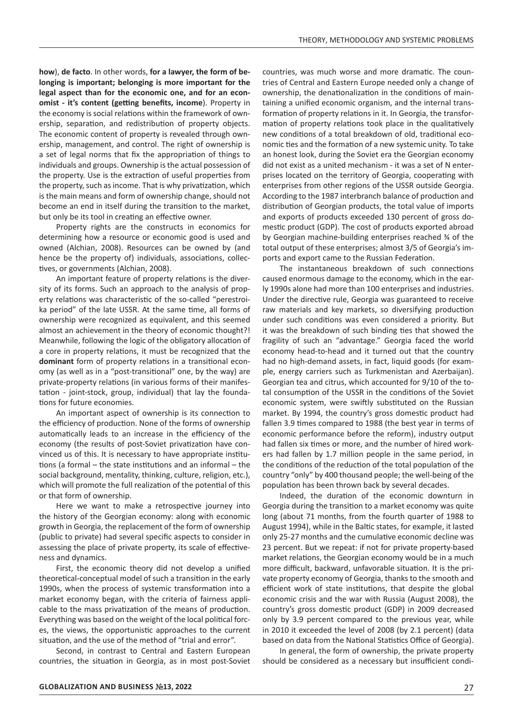**how**), **de facto**. In other words, **for a lawyer, the form of belonging is important; belonging is more important for the legal aspect than for the economic one, and for an economist - it's content (getting benefits, income**). Property in the economy is social relations within the framework of ownership, separation, and redistribution of property objects. The economic content of property is revealed through ownership, management, and control. The right of ownership is a set of legal norms that fix the appropriation of things to individuals and groups. Ownership is the actual possession of the property. Use is the extraction of useful properties from the property, such as income. That is why privatization, which is the main means and form of ownership change, should not become an end in itself during the transition to the market, but only be its tool in creating an effective owner.

Property rights are the constructs in economics for determining how a resource or economic good is used and owned (Alchian, 2008). Resources can be owned by (and hence be the property of) individuals, associations, collectives, or governments (Alchian, 2008).

An important feature of property relations is the diversity of its forms. Such an approach to the analysis of property relations was characteristic of the so-called "perestroika period" of the late USSR. At the same time, all forms of ownership were recognized as equivalent, and this seemed almost an achievement in the theory of economic thought?! Meanwhile, following the logic of the obligatory allocation of a core in property relations, it must be recognized that the **dominant** form of property relations in a transitional economy (as well as in a "post-transitional" one, by the way) are private-property relations (in various forms of their manifestation - joint-stock, group, individual) that lay the foundations for future economies.

An important aspect of ownership is its connection to the efficiency of production. None of the forms of ownership automatically leads to an increase in the efficiency of the economy (the results of post-Soviet privatization have convinced us of this. It is necessary to have appropriate institutions (a formal – the state institutions and an informal – the social background, mentality, thinking, culture, religion, etc.), which will promote the full realization of the potential of this or that form of ownership.

Here we want to make a retrospective journey into the history of the Georgian economy: along with economic growth in Georgia, the replacement of the form of ownership (public to private) had several specific aspects to consider in assessing the place of private property, its scale of effectiveness and dynamics.

First, the economic theory did not develop a unified theoretical-conceptual model of such a transition in the early 1990s, when the process of systemic transformation into a market economy began, with the criteria of fairness applicable to the mass privatization of the means of production. Everything was based on the weight of the local political forces, the views, the opportunistic approaches to the current situation, and the use of the method of "trial and error".

Second, in contrast to Central and Eastern European countries, the situation in Georgia, as in most post-Soviet

countries, was much worse and more dramatic. The countries of Central and Eastern Europe needed only a change of ownership, the denationalization in the conditions of maintaining a unified economic organism, and the internal transformation of property relations in it. In Georgia, the transformation of property relations took place in the qualitatively new conditions of a total breakdown of old, traditional economic ties and the formation of a new systemic unity. To take an honest look, during the Soviet era the Georgian economy did not exist as a united mechanism - it was a set of N enterprises located on the territory of Georgia, cooperating with enterprises from other regions of the USSR outside Georgia. According to the 1987 interbranch balance of production and distribution of Georgian products, the total value of imports and exports of products exceeded 130 percent of gross domestic product (GDP). The cost of products exported abroad by Georgian machine-building enterprises reached ¾ of the total output of these enterprises; almost 3/5 of Georgia's imports and export came to the Russian Federation.

The instantaneous breakdown of such connections caused enormous damage to the economy, which in the early 1990s alone had more than 100 enterprises and industries. Under the directive rule, Georgia was guaranteed to receive raw materials and key markets, so diversifying production under such conditions was even considered a priority. But it was the breakdown of such binding ties that showed the fragility of such an "advantage." Georgia faced the world economy head-to-head and it turned out that the country had no high-demand assets, in fact, liquid goods (for example, energy carriers such as Turkmenistan and Azerbaijan). Georgian tea and citrus, which accounted for 9/10 of the total consumption of the USSR in the conditions of the Soviet economic system, were swiftly substituted on the Russian market. By 1994, the country's gross domestic product had fallen 3.9 times compared to 1988 (the best year in terms of economic performance before the reform), industry output had fallen six times or more, and the number of hired workers had fallen by 1.7 million people in the same period, in the conditions of the reduction of the total population of the country "only" by 400 thousand people; the well-being of the population has been thrown back by several decades.

Indeed, the duration of the economic downturn in Georgia during the transition to a market economy was quite long (about 71 months, from the fourth quarter of 1988 to August 1994), while in the Baltic states, for example, it lasted only 25-27 months and the cumulative economic decline was 23 percent. But we repeat: if not for private property-based market relations, the Georgian economy would be in a much more difficult, backward, unfavorable situation. It is the private property economy of Georgia, thanks to the smooth and efficient work of state institutions, that despite the global economic crisis and the war with Russia (August 2008), the country's gross domestic product (GDP) in 2009 decreased only by 3.9 percent compared to the previous year, while in 2010 it exceeded the level of 2008 (by 2.1 percent) (data based on data from the National Statistics Office of Georgia).

In general, the form of ownership, the private property should be considered as a necessary but insufficient condi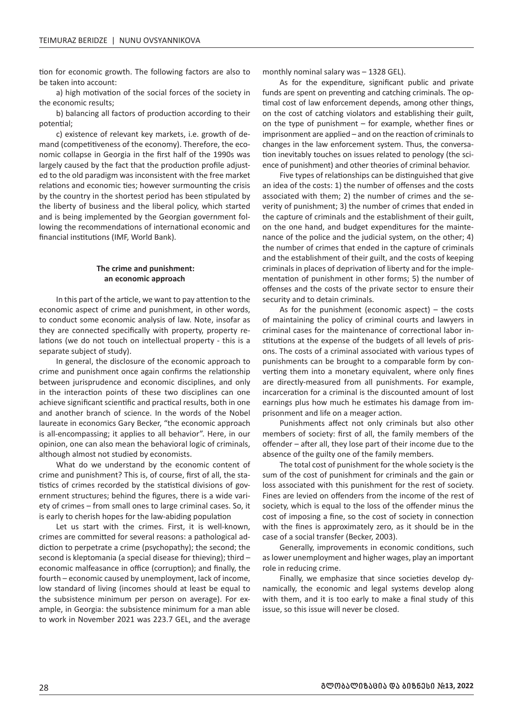tion for economic growth. The following factors are also to be taken into account:

a) high motivation of the social forces of the society in the economic results;

b) balancing all factors of production according to their potential;

c) existence of relevant key markets, i.e. growth of demand (competitiveness of the economy). Therefore, the economic collapse in Georgia in the first half of the 1990s was largely caused by the fact that the production profile adjusted to the old paradigm was inconsistent with the free market relations and economic ties; however surmounting the crisis by the country in the shortest period has been stipulated by the liberty of business and the liberal policy, which started and is being implemented by the Georgian government following the recommendations of international economic and financial institutions (IMF, World Bank).

#### **The crime and punishment: an economic approach**

In this part of the article, we want to pay attention to the economic aspect of crime and punishment, in other words, to conduct some economic analysis of law. Note, insofar as they are connected specifically with property, property relations (we do not touch on intellectual property - this is a separate subject of study).

In general, the disclosure of the economic approach to crime and punishment once again confirms the relationship between jurisprudence and economic disciplines, and only in the interaction points of these two disciplines can one achieve significant scientific and practical results, both in one and another branch of science. In the words of the Nobel laureate in economics Gary Becker, "the economic approach is all-encompassing; it applies to all behavior". Here, in our opinion, one can also mean the behavioral logic of criminals, although almost not studied by economists.

What do we understand by the economic content of crime and punishment? This is, of course, first of all, the statistics of crimes recorded by the statistical divisions of government structures; behind the figures, there is a wide variety of crimes – from small ones to large criminal cases. So, it is early to cherish hopes for the law-abiding population

Let us start with the crimes. First, it is well-known, crimes are committed for several reasons: a pathological addiction to perpetrate a crime (psychopathy); the second; the second is kleptomania (a special disease for thieving); third – economic malfeasance in office (corruption); and finally, the fourth – economic caused by unemployment, lack of income, low standard of living (incomes should at least be equal to the subsistence minimum per person on average). For example, in Georgia: the subsistence minimum for a man able to work in November 2021 was 223.7 GEL, and the average monthly nominal salary was – 1328 GEL).

As for the expenditure, significant public and private funds are spent on preventing and catching criminals. The optimal cost of law enforcement depends, among other things, on the cost of catching violators and establishing their guilt, on the type of punishment – for example, whether fines or imprisonment are applied – and on the reaction of criminals to changes in the law enforcement system. Thus, the conversation inevitably touches on issues related to penology (the science of punishment) and other theories of criminal behavior.

Five types of relationships can be distinguished that give an idea of the costs: 1) the number of offenses and the costs associated with them; 2) the number of crimes and the severity of punishment; 3) the number of crimes that ended in the capture of criminals and the establishment of their guilt, on the one hand, and budget expenditures for the maintenance of the police and the judicial system, on the other; 4) the number of crimes that ended in the capture of criminals and the establishment of their guilt, and the costs of keeping criminals in places of deprivation of liberty and for the implementation of punishment in other forms; 5) the number of offenses and the costs of the private sector to ensure their security and to detain criminals.

As for the punishment (economic aspect) – the costs of maintaining the policy of criminal courts and lawyers in criminal cases for the maintenance of correctional labor institutions at the expense of the budgets of all levels of prisons. The costs of a criminal associated with various types of punishments can be brought to a comparable form by converting them into a monetary equivalent, where only fines are directly-measured from all punishments. For example, incarceration for a criminal is the discounted amount of lost earnings plus how much he estimates his damage from imprisonment and life on a meager action.

Punishments affect not only criminals but also other members of society: first of all, the family members of the offender – after all, they lose part of their income due to the absence of the guilty one of the family members.

The total cost of punishment for the whole society is the sum of the cost of punishment for criminals and the gain or loss associated with this punishment for the rest of society. Fines are levied on offenders from the income of the rest of society, which is equal to the loss of the offender minus the cost of imposing a fine, so the cost of society in connection with the fines is approximately zero, as it should be in the case of a social transfer (Becker, 2003).

Generally, improvements in economic conditions, such as lower unemployment and higher wages, play an important role in reducing crime.

Finally, we emphasize that since societies develop dynamically, the economic and legal systems develop along with them, and it is too early to make a final study of this issue, so this issue will never be closed.